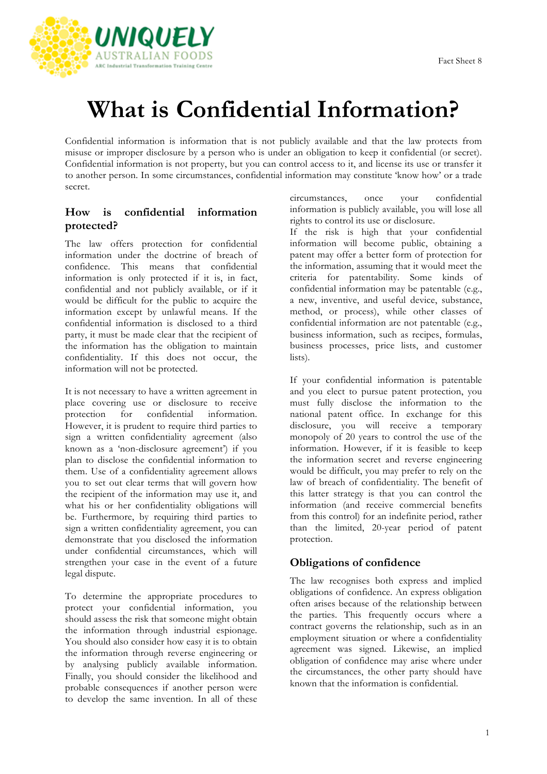

## **What is Confidential Information?**

Confidential information is information that is not publicly available and that the law protects from misuse or improper disclosure by a person who is under an obligation to keep it confidential (or secret). Confidential information is not property, but you can control access to it, and license its use or transfer it to another person. In some circumstances, confidential information may constitute 'know how' or a trade secret.

## **How is confidential information protected?**

The law offers protection for confidential information under the doctrine of breach of confidence. This means that confidential information is only protected if it is, in fact, confidential and not publicly available, or if it would be difficult for the public to acquire the information except by unlawful means. If the confidential information is disclosed to a third party, it must be made clear that the recipient of the information has the obligation to maintain confidentiality. If this does not occur, the information will not be protected.

It is not necessary to have a written agreement in place covering use or disclosure to receive protection for confidential information. However, it is prudent to require third parties to sign a written confidentiality agreement (also known as a 'non-disclosure agreement') if you plan to disclose the confidential information to them. Use of a confidentiality agreement allows you to set out clear terms that will govern how the recipient of the information may use it, and what his or her confidentiality obligations will be. Furthermore, by requiring third parties to sign a written confidentiality agreement, you can demonstrate that you disclosed the information under confidential circumstances, which will strengthen your case in the event of a future legal dispute.

To determine the appropriate procedures to protect your confidential information, you should assess the risk that someone might obtain the information through industrial espionage. You should also consider how easy it is to obtain the information through reverse engineering or by analysing publicly available information. Finally, you should consider the likelihood and probable consequences if another person were to develop the same invention. In all of these circumstances, once your confidential information is publicly available, you will lose all rights to control its use or disclosure.

If the risk is high that your confidential information will become public, obtaining a patent may offer a better form of protection for the information, assuming that it would meet the criteria for patentability. Some kinds of confidential information may be patentable (e.g., a new, inventive, and useful device, substance, method, or process), while other classes of confidential information are not patentable (e.g., business information, such as recipes, formulas, business processes, price lists, and customer lists).

If your confidential information is patentable and you elect to pursue patent protection, you must fully disclose the information to the national patent office. In exchange for this disclosure, you will receive a temporary monopoly of 20 years to control the use of the information. However, if it is feasible to keep the information secret and reverse engineering would be difficult, you may prefer to rely on the law of breach of confidentiality. The benefit of this latter strategy is that you can control the information (and receive commercial benefits from this control) for an indefinite period, rather than the limited, 20-year period of patent protection.

## **Obligations of confidence**

The law recognises both express and implied obligations of confidence. An express obligation often arises because of the relationship between the parties. This frequently occurs where a contract governs the relationship, such as in an employment situation or where a confidentiality agreement was signed. Likewise, an implied obligation of confidence may arise where under the circumstances, the other party should have known that the information is confidential.